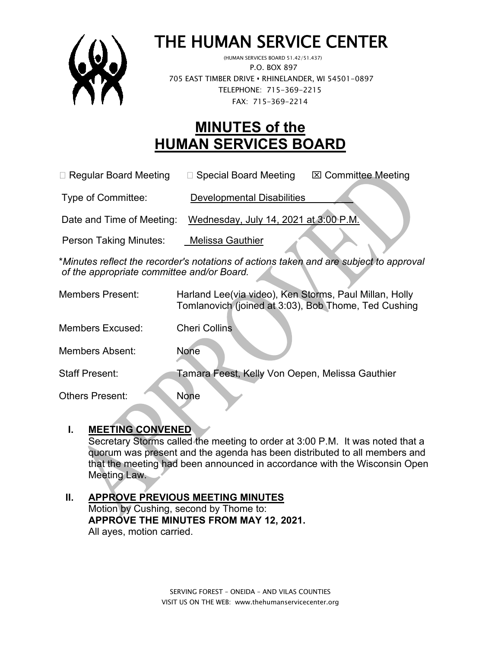

# THE HUMAN SERVICE CENTER

 P.O. BOX 897 705 EAST TIMBER DRIVE **•** RHINELANDER, WI 54501-0897 TELEPHONE: 715-369-2215 FAX: 715-369-2214

# **MINUTES of the HUMAN SERVICES BOARD**

□ Regular Board Meeting □ Special Board Meeting  $\Box$  Committee Meeting

Type of Committee: Developmental Disabilities

Date and Time of Meeting: Wednesday, July 14, 2021 at 3:00 P.M.

Person Taking Minutes: Melissa Gauthier

\**Minutes reflect the recorder's notations of actions taken and are subject to approval of the appropriate committee and/or Board.*

| <b>Members Present:</b> | Harland Lee(via video), Ken Storms, Paul Millan, Holly<br>Tomlanovich (joined at 3:03), Bob Thome, Ted Cushing |
|-------------------------|----------------------------------------------------------------------------------------------------------------|
| Members Excused:        | <b>Cheri Collins</b>                                                                                           |
| <b>Members Absent:</b>  | None                                                                                                           |
| <b>Staff Present:</b>   | Tamara Feest, Kelly Von Oepen, Melissa Gauthier                                                                |
| Others Present:         | None                                                                                                           |

#### **I. MEETING CONVENED**

Secretary Storms called the meeting to order at 3:00 P.M. It was noted that a quorum was present and the agenda has been distributed to all members and that the meeting had been announced in accordance with the Wisconsin Open Meeting Law.

#### **II. APPROVE PREVIOUS MEETING MINUTES**  Motion by Cushing, second by Thome to: **APPROVE THE MINUTES FROM MAY 12, 2021.** All ayes, motion carried.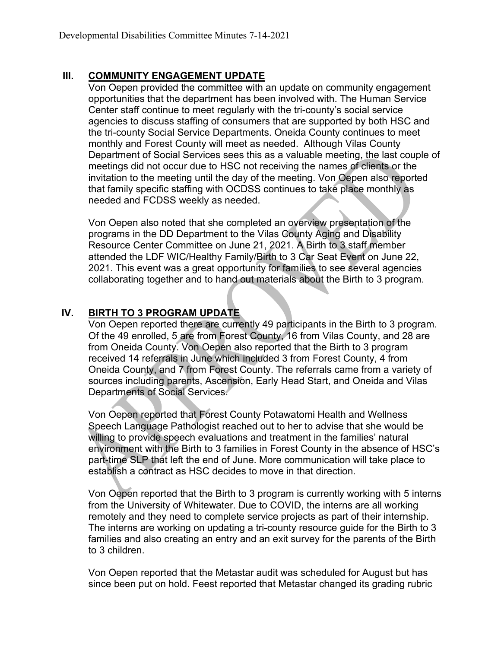### **III. COMMUNITY ENGAGEMENT UPDATE**

Von Oepen provided the committee with an update on community engagement opportunities that the department has been involved with. The Human Service Center staff continue to meet regularly with the tri-county's social service agencies to discuss staffing of consumers that are supported by both HSC and the tri-county Social Service Departments. Oneida County continues to meet monthly and Forest County will meet as needed. Although Vilas County Department of Social Services sees this as a valuable meeting, the last couple of meetings did not occur due to HSC not receiving the names of clients or the invitation to the meeting until the day of the meeting. Von Oepen also reported that family specific staffing with OCDSS continues to take place monthly as needed and FCDSS weekly as needed.

Von Oepen also noted that she completed an overview presentation of the programs in the DD Department to the Vilas County Aging and Disability Resource Center Committee on June 21, 2021. A Birth to 3 staff member attended the LDF WIC/Healthy Family/Birth to 3 Car Seat Event on June 22, 2021. This event was a great opportunity for families to see several agencies collaborating together and to hand out materials about the Birth to 3 program.

# **IV. BIRTH TO 3 PROGRAM UPDATE**

Von Oepen reported there are currently 49 participants in the Birth to 3 program. Of the 49 enrolled, 5 are from Forest County, 16 from Vilas County, and 28 are from Oneida County. Von Oepen also reported that the Birth to 3 program received 14 referrals in June which included 3 from Forest County, 4 from Oneida County, and 7 from Forest County. The referrals came from a variety of sources including parents, Ascension, Early Head Start, and Oneida and Vilas Departments of Social Services.

Von Oepen reported that Forest County Potawatomi Health and Wellness Speech Language Pathologist reached out to her to advise that she would be willing to provide speech evaluations and treatment in the families' natural environment with the Birth to 3 families in Forest County in the absence of HSC's part-time SLP that left the end of June. More communication will take place to establish a contract as HSC decides to move in that direction.

Von Oepen reported that the Birth to 3 program is currently working with 5 interns from the University of Whitewater. Due to COVID, the interns are all working remotely and they need to complete service projects as part of their internship. The interns are working on updating a tri-county resource guide for the Birth to 3 families and also creating an entry and an exit survey for the parents of the Birth to 3 children.

Von Oepen reported that the Metastar audit was scheduled for August but has since been put on hold. Feest reported that Metastar changed its grading rubric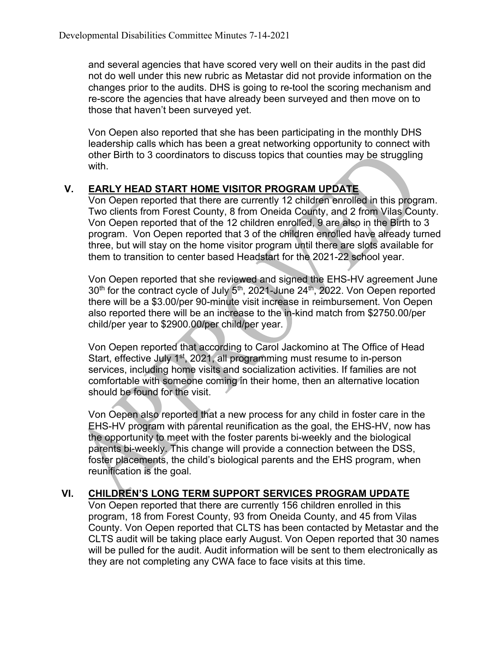and several agencies that have scored very well on their audits in the past did not do well under this new rubric as Metastar did not provide information on the changes prior to the audits. DHS is going to re-tool the scoring mechanism and re-score the agencies that have already been surveyed and then move on to those that haven't been surveyed yet.

Von Oepen also reported that she has been participating in the monthly DHS leadership calls which has been a great networking opportunity to connect with other Birth to 3 coordinators to discuss topics that counties may be struggling with.

### **V. EARLY HEAD START HOME VISITOR PROGRAM UPDATE**

Von Oepen reported that there are currently 12 children enrolled in this program. Two clients from Forest County, 8 from Oneida County, and 2 from Vilas County. Von Oepen reported that of the 12 children enrolled, 9 are also in the Birth to 3 program. Von Oepen reported that 3 of the children enrolled have already turned three, but will stay on the home visitor program until there are slots available for them to transition to center based Headstart for the 2021-22 school year.

Von Oepen reported that she reviewed and signed the EHS-HV agreement June  $30<sup>th</sup>$  for the contract cycle of July  $5<sup>th</sup>$ , 2021-June 24<sup>th</sup>, 2022. Von Oepen reported there will be a \$3.00/per 90-minute visit increase in reimbursement. Von Oepen also reported there will be an increase to the in-kind match from \$2750.00/per child/per year to \$2900.00/per child/per year.

Von Oepen reported that according to Carol Jackomino at The Office of Head Start, effective July 1<sup>st</sup>, 2021, all programming must resume to in-person services, including home visits and socialization activities. If families are not comfortable with someone coming in their home, then an alternative location should be found for the visit.

Von Oepen also reported that a new process for any child in foster care in the EHS-HV program with parental reunification as the goal, the EHS-HV, now has the opportunity to meet with the foster parents bi-weekly and the biological parents bi-weekly. This change will provide a connection between the DSS, foster placements, the child's biological parents and the EHS program, when reunification is the goal.

#### **VI. CHILDREN'S LONG TERM SUPPORT SERVICES PROGRAM UPDATE**

Von Oepen reported that there are currently 156 children enrolled in this program, 18 from Forest County, 93 from Oneida County, and 45 from Vilas County. Von Oepen reported that CLTS has been contacted by Metastar and the CLTS audit will be taking place early August. Von Oepen reported that 30 names will be pulled for the audit. Audit information will be sent to them electronically as they are not completing any CWA face to face visits at this time.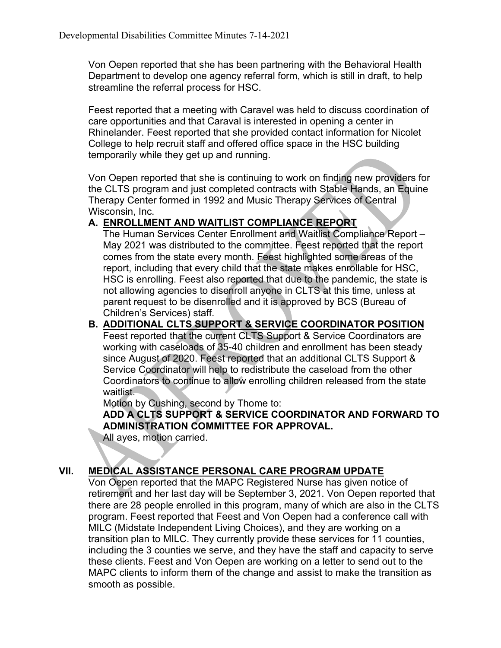Von Oepen reported that she has been partnering with the Behavioral Health Department to develop one agency referral form, which is still in draft, to help streamline the referral process for HSC.

Feest reported that a meeting with Caravel was held to discuss coordination of care opportunities and that Caraval is interested in opening a center in Rhinelander. Feest reported that she provided contact information for Nicolet College to help recruit staff and offered office space in the HSC building temporarily while they get up and running.

Von Oepen reported that she is continuing to work on finding new providers for the CLTS program and just completed contracts with Stable Hands, an Equine Therapy Center formed in 1992 and Music Therapy Services of Central Wisconsin, Inc.

#### **A. ENROLLMENT AND WAITLIST COMPLIANCE REPORT**

The Human Services Center Enrollment and Waitlist Compliance Report – May 2021 was distributed to the committee. Feest reported that the report comes from the state every month. Feest highlighted some areas of the report, including that every child that the state makes enrollable for HSC, HSC is enrolling. Feest also reported that due to the pandemic, the state is not allowing agencies to disenroll anyone in CLTS at this time, unless at parent request to be disenrolled and it is approved by BCS (Bureau of Children's Services) staff.

#### **B. ADDITIONAL CLTS SUPPORT & SERVICE COORDINATOR POSITION**

Feest reported that the current CLTS Support & Service Coordinators are working with caseloads of 35-40 children and enrollment has been steady since August of 2020. Feest reported that an additional CLTS Support & Service Coordinator will help to redistribute the caseload from the other Coordinators to continue to allow enrolling children released from the state waitlist.

Motion by Cushing, second by Thome to:

**ADD A CLTS SUPPORT & SERVICE COORDINATOR AND FORWARD TO ADMINISTRATION COMMITTEE FOR APPROVAL.**

All ayes, motion carried.

#### **VII. MEDICAL ASSISTANCE PERSONAL CARE PROGRAM UPDATE**

Von Oepen reported that the MAPC Registered Nurse has given notice of retirement and her last day will be September 3, 2021. Von Oepen reported that there are 28 people enrolled in this program, many of which are also in the CLTS program. Feest reported that Feest and Von Oepen had a conference call with MILC (Midstate Independent Living Choices), and they are working on a transition plan to MILC. They currently provide these services for 11 counties, including the 3 counties we serve, and they have the staff and capacity to serve these clients. Feest and Von Oepen are working on a letter to send out to the MAPC clients to inform them of the change and assist to make the transition as smooth as possible.